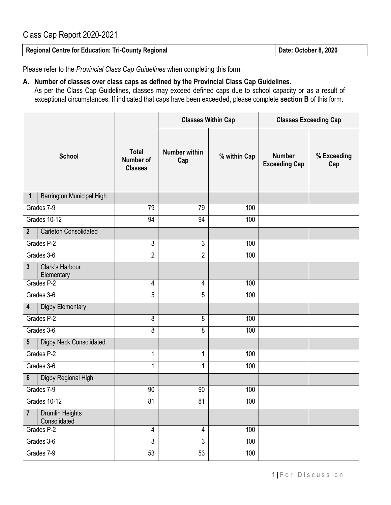## Class Cap Report 2020-2021

| Regional Centre for Education: Tri-County Regional | Date: October 8, 2020 |
|----------------------------------------------------|-----------------------|
|                                                    |                       |

Please refer to the *Provincial Class Cap Guidelines* when completing this form.

## **A. Number of classes over class caps as defined by the Provincial Class Cap Guidelines.**

As per the Class Cap Guidelines, classes may exceed defined caps due to school capacity or as a result of exceptional circumstances. If indicated that caps have been exceeded, please complete **section B** of this form.

|                                                          |                                             | <b>Classes Within Cap</b>   |                  | <b>Classes Exceeding Cap</b>          |                    |
|----------------------------------------------------------|---------------------------------------------|-----------------------------|------------------|---------------------------------------|--------------------|
| <b>School</b>                                            | <b>Total</b><br>Number of<br><b>Classes</b> | <b>Number within</b><br>Cap | % within Cap     | <b>Number</b><br><b>Exceeding Cap</b> | % Exceeding<br>Cap |
| <b>Barrington Municipal High</b><br>1                    |                                             |                             |                  |                                       |                    |
| Grades 7-9                                               | 79                                          | 79                          | 100              |                                       |                    |
| Grades 10-12                                             | 94                                          | 94                          | 100              |                                       |                    |
| <b>Carleton Consolidated</b><br>$2\overline{ }$          |                                             |                             |                  |                                       |                    |
| Grades P-2                                               | 3                                           | 3                           | 100              |                                       |                    |
| Grades 3-6                                               | $\overline{2}$                              | $\overline{2}$              | 100              |                                       |                    |
| $\overline{\mathbf{3}}$<br>Clark's Harbour<br>Elementary |                                             |                             |                  |                                       |                    |
| Grades P-2                                               | 4                                           | 4                           | 100              |                                       |                    |
| Grades 3-6                                               | 5                                           | 5                           | 100              |                                       |                    |
| Digby Elementary<br>4                                    |                                             |                             |                  |                                       |                    |
| Grades P-2                                               | 8                                           | $\overline{8}$              | 100              |                                       |                    |
| Grades 3-6                                               | 8                                           | 8                           | 100              |                                       |                    |
| <b>Digby Neck Consolidated</b><br>5                      |                                             |                             |                  |                                       |                    |
| Grades P-2                                               | 1                                           | 1                           | 100              |                                       |                    |
| Grades 3-6                                               | 1                                           | 1                           | 100              |                                       |                    |
| Digby Regional High<br>6                                 |                                             |                             |                  |                                       |                    |
| Grades 7-9                                               | 90                                          | 90                          | 100              |                                       |                    |
| Grades 10-12                                             | 81                                          | 81                          | 100              |                                       |                    |
| Drumlin Heights<br>$\overline{7}$<br>Consolidated        |                                             |                             |                  |                                       |                    |
| Grades <sub>P-2</sub>                                    | 4                                           | 4                           | 100              |                                       |                    |
| Grades 3-6                                               | $\overline{3}$                              | $\overline{3}$              | 100              |                                       |                    |
| Grades 7-9                                               | 53                                          | 53                          | $\overline{100}$ |                                       |                    |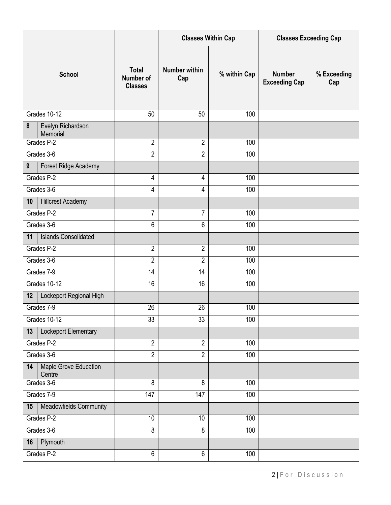|                                       |                                             | <b>Classes Within Cap</b>   |              | <b>Classes Exceeding Cap</b>          |                    |
|---------------------------------------|---------------------------------------------|-----------------------------|--------------|---------------------------------------|--------------------|
| <b>School</b>                         | <b>Total</b><br>Number of<br><b>Classes</b> | <b>Number within</b><br>Cap | % within Cap | <b>Number</b><br><b>Exceeding Cap</b> | % Exceeding<br>Cap |
| Grades 10-12                          | 50                                          | 50                          | 100          |                                       |                    |
| Evelyn Richardson<br>8<br>Memorial    |                                             |                             |              |                                       |                    |
| Grades P-2                            | $\overline{2}$                              | $\mathbf{2}$                | 100          |                                       |                    |
| Grades 3-6                            | $\overline{2}$                              | $\overline{2}$              | 100          |                                       |                    |
| Forest Ridge Academy<br>9             |                                             |                             |              |                                       |                    |
| Grades P-2                            | 4                                           | 4                           | 100          |                                       |                    |
| Grades 3-6                            | 4                                           | 4                           | 100          |                                       |                    |
| <b>Hillcrest Academy</b><br>10        |                                             |                             |              |                                       |                    |
| Grades P-2                            | 7                                           | $\overline{7}$              | 100          |                                       |                    |
| Grades 3-6                            | 6                                           | 6                           | 100          |                                       |                    |
| <b>Islands Consolidated</b><br>11     |                                             |                             |              |                                       |                    |
| Grades P-2                            | $\overline{2}$                              | $\overline{2}$              | 100          |                                       |                    |
| Grades 3-6                            | $\overline{2}$                              | $\overline{2}$              | 100          |                                       |                    |
| Grades 7-9                            | 14                                          | 14                          | 100          |                                       |                    |
| Grades 10-12                          | 16                                          | 16                          | 100          |                                       |                    |
| Lockeport Regional High<br>12         |                                             |                             |              |                                       |                    |
| Grades 7-9                            | 26                                          | 26                          | 100          |                                       |                    |
| Grades 10-12                          | 33                                          | 33                          | 100          |                                       |                    |
| Lockeport Elementary<br>13            |                                             |                             |              |                                       |                    |
| Grades P-2                            | $\overline{2}$                              | $\overline{2}$              | 100          |                                       |                    |
| Grades 3-6                            | $\overline{2}$                              | $\overline{2}$              | 100          |                                       |                    |
| Maple Grove Education<br>14<br>Centre |                                             |                             |              |                                       |                    |
| Grades 3-6                            | 8                                           | 8                           | 100          |                                       |                    |
| Grades 7-9                            | 147                                         | 147                         | 100          |                                       |                    |
| Meadowfields Community<br>15          |                                             |                             |              |                                       |                    |
| Grades P-2                            | 10                                          | 10                          | 100          |                                       |                    |
| Grades 3-6                            | 8                                           | 8                           | 100          |                                       |                    |
| Plymouth<br>16                        |                                             |                             |              |                                       |                    |
| Grades P-2                            | $\,6\,$                                     | $\,6\,$                     | 100          |                                       |                    |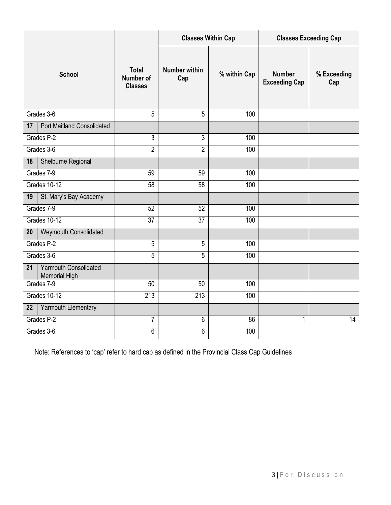|                                                            |                                                    | <b>Classes Within Cap</b>   |              | <b>Classes Exceeding Cap</b>          |                    |
|------------------------------------------------------------|----------------------------------------------------|-----------------------------|--------------|---------------------------------------|--------------------|
| <b>School</b>                                              | <b>Total</b><br><b>Number of</b><br><b>Classes</b> | <b>Number within</b><br>Cap | % within Cap | <b>Number</b><br><b>Exceeding Cap</b> | % Exceeding<br>Cap |
| Grades 3-6                                                 | 5                                                  | 5                           | 100          |                                       |                    |
| <b>Port Maitland Consolidated</b><br>17                    |                                                    |                             |              |                                       |                    |
| Grades P-2                                                 | 3                                                  | $\overline{3}$              | 100          |                                       |                    |
| Grades 3-6                                                 | $\overline{2}$                                     | $\overline{2}$              | 100          |                                       |                    |
| Shelburne Regional<br>18                                   |                                                    |                             |              |                                       |                    |
| Grades 7-9                                                 | 59                                                 | 59                          | 100          |                                       |                    |
| Grades 10-12                                               | $\overline{58}$                                    | 58                          | 100          |                                       |                    |
| 19<br>St. Mary's Bay Academy                               |                                                    |                             |              |                                       |                    |
| Grades 7-9                                                 | 52                                                 | 52                          | 100          |                                       |                    |
| Grades 10-12                                               | $\overline{37}$                                    | 37                          | 100          |                                       |                    |
| <b>Weymouth Consolidated</b><br>20                         |                                                    |                             |              |                                       |                    |
| Grades P-2                                                 | 5                                                  | $\overline{5}$              | 100          |                                       |                    |
| Grades 3-6                                                 | 5                                                  | 5                           | 100          |                                       |                    |
| <b>Yarmouth Consolidated</b><br>21<br><b>Memorial High</b> |                                                    |                             |              |                                       |                    |
| Grades 7-9                                                 | 50                                                 | 50                          | 100          |                                       |                    |
| Grades 10-12                                               | 213                                                | 213                         | 100          |                                       |                    |
| Yarmouth Elementary<br>22                                  |                                                    |                             |              |                                       |                    |
| Grades P-2                                                 | $\overline{7}$                                     | $\overline{6}$              | 86           | 1                                     | 14                 |
| Grades 3-6                                                 | 6                                                  | $\overline{6}$              | 100          |                                       |                    |

Note: References to 'cap' refer to hard cap as defined in the Provincial Class Cap Guidelines